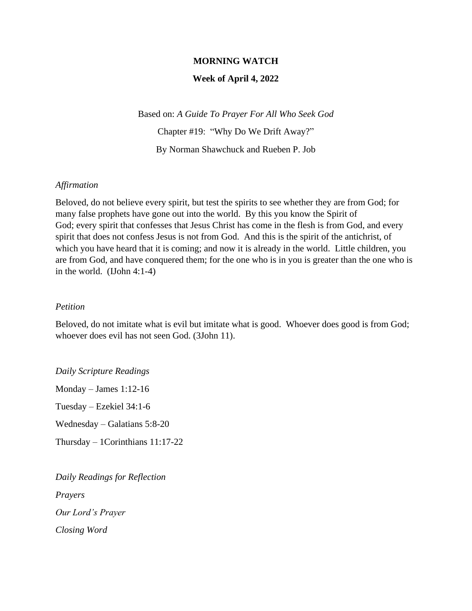## **MORNING WATCH**

## **Week of April 4, 2022**

Based on: *A Guide To Prayer For All Who Seek God* Chapter #19: "Why Do We Drift Away?" By Norman Shawchuck and Rueben P. Job

#### *Affirmation*

Beloved, do not believe every spirit, but test the spirits to see whether they are from God; for many false prophets have gone out into the world. By this you know the Spirit of God; every spirit that confesses that Jesus Christ has come in the flesh is from God, and every spirit that does not confess Jesus is not from God. And this is the spirit of the antichrist, of which you have heard that it is coming; and now it is already in the world. Little children, you are from God, and have conquered them; for the one who is in you is greater than the one who is in the world. (IJohn 4:1-4)

### *Petition*

Beloved, do not imitate what is evil but imitate what is good. Whoever does good is from God; whoever does evil has not seen God. (3John 11).

*Daily Scripture Readings*

Monday – James 1:12-16

Tuesday – Ezekiel 34:1-6

Wednesday – Galatians 5:8-20

Thursday – 1Corinthians 11:17-22

*Daily Readings for Reflection Prayers Our Lord's Prayer Closing Word*